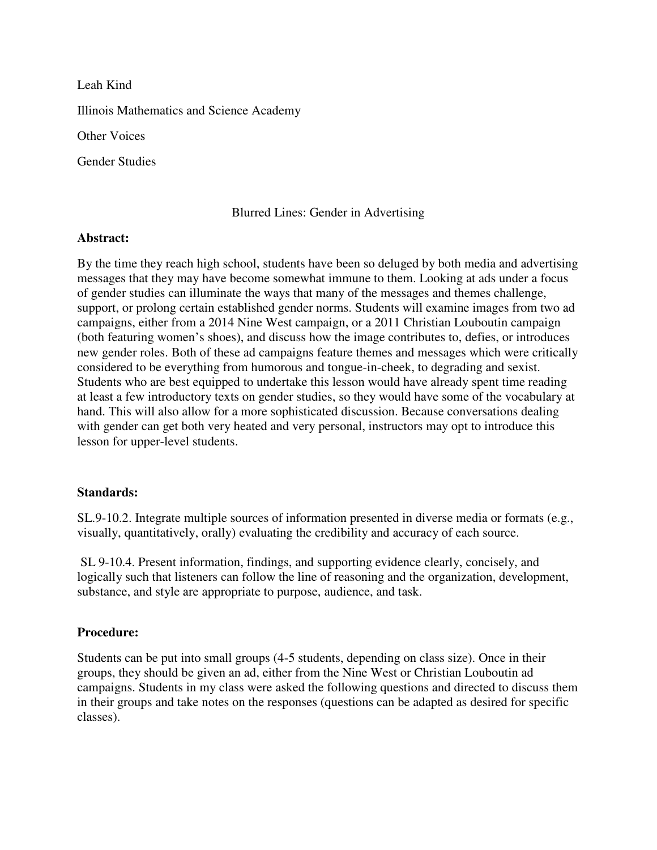Leah Kind Illinois Mathematics and Science Academy Other Voices Gender Studies

# Blurred Lines: Gender in Advertising

### **Abstract:**

By the time they reach high school, students have been so deluged by both media and advertising messages that they may have become somewhat immune to them. Looking at ads under a focus of gender studies can illuminate the ways that many of the messages and themes challenge, support, or prolong certain established gender norms. Students will examine images from two ad campaigns, either from a 2014 Nine West campaign, or a 2011 Christian Louboutin campaign (both featuring women's shoes), and discuss how the image contributes to, defies, or introduces new gender roles. Both of these ad campaigns feature themes and messages which were critically considered to be everything from humorous and tongue-in-cheek, to degrading and sexist. Students who are best equipped to undertake this lesson would have already spent time reading at least a few introductory texts on gender studies, so they would have some of the vocabulary at hand. This will also allow for a more sophisticated discussion. Because conversations dealing with gender can get both very heated and very personal, instructors may opt to introduce this lesson for upper-level students.

## **Standards:**

SL.9-10.2. Integrate multiple sources of information presented in diverse media or formats (e.g., visually, quantitatively, orally) evaluating the credibility and accuracy of each source.

 SL 9-10.4. Present information, findings, and supporting evidence clearly, concisely, and logically such that listeners can follow the line of reasoning and the organization, development, substance, and style are appropriate to purpose, audience, and task.

## **Procedure:**

Students can be put into small groups (4-5 students, depending on class size). Once in their groups, they should be given an ad, either from the Nine West or Christian Louboutin ad campaigns. Students in my class were asked the following questions and directed to discuss them in their groups and take notes on the responses (questions can be adapted as desired for specific classes).